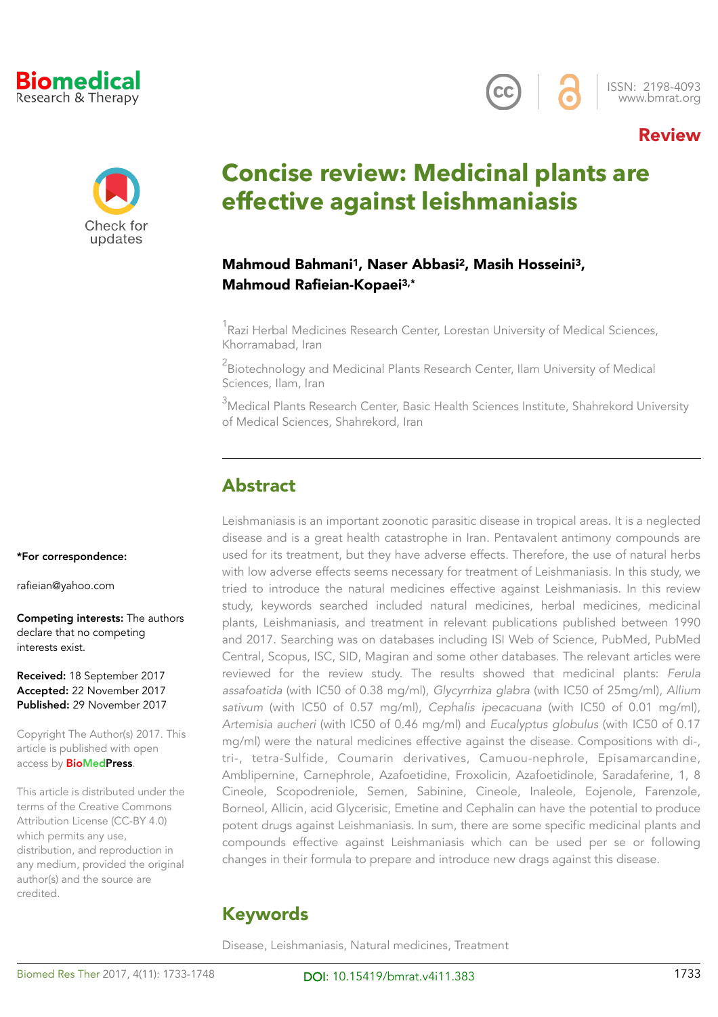

\*For correspondence:

Competing interests: The authors

declare that no competing

Received: 18 September 2017 Accepted: 22 November 2017 Published: 29 November 2017

Copyright The Author(s) 2017. This article is published with open access by **BioMedPress**.

This article is distributed under the terms of the Creative Commons Attribution License (CC-BY 4.0)

distribution, and reproduction in any medium, provided the original author(s) and the source are

which permits any use,

credited.

[rafieian@yahoo.com](mailto:rafieian@yahoo.com)

interests exist.



ISSN: 2198-4093 [www.bmrat.org](http://www.bmrat.org)

### Review



# **Concise review: Medicinal plants are effective against leishmaniasis**

#### Mahmoud Bahmani1, Naser Abbasi2, Masih Hosseini3, Mahmoud Rafieian-Kopaei3,\*

 $^1$ Razi Herbal Medicines Research Center, Lorestan University of Medical Sciences, Khorramabad, Iran

 $^2$ Biotechnology and Medicinal Plants Research Center, Ilam University of Medical Sciences, Ilam, Iran

 $^3$ Medical Plants Research Center, Basic Health Sciences Institute, Shahrekord University of Medical Sciences, Shahrekord, Iran

### Abstract

Leishmaniasis is an important zoonotic parasitic disease in tropical areas. It is a neglected disease and is a great health catastrophe in Iran. Pentavalent antimony compounds are used for its treatment, but they have adverse effects. Therefore, the use of natural herbs with low adverse effects seems necessary for treatment of Leishmaniasis. In this study, we tried to introduce the natural medicines effective against Leishmaniasis. In this review study, keywords searched included natural medicines, herbal medicines, medicinal plants, Leishmaniasis, and treatment in relevant publications published between 1990 and 2017. Searching was on databases including ISI Web of Science, PubMed, PubMed Central, Scopus, ISC, SID, Magiran and some other databases. The relevant articles were reviewed for the review study. The results showed that medicinal plants: *Ferula assafoatida* (with IC50 of 0.38 mg/ml), *Glycyrrhiza glabra* (with IC50 of 25mg/ml), *Allium sativum* (with IC50 of 0.57 mg/ml), *Cephalis ipecacuana* (with IC50 of 0.01 mg/ml), *Artemisia aucheri* (with IC50 of 0.46 mg/ml) and *Eucalyptus globulus* (with IC50 of 0.17 mg/ml) were the natural medicines effective against the disease. Compositions with di-, tri-, tetra-Sulfide, Coumarin derivatives, Camuou-nephrole, Episamarcandine, Amblipernine, Carnephrole, Azafoetidine, Froxolicin, Azafoetidinole, Saradaferine, 1, 8 Cineole, Scopodreniole, Semen, Sabinine, Cineole, Inaleole, Eojenole, Farenzole, Borneol, Allicin, acid Glycerisic, Emetine and Cephalin can have the potential to produce potent drugs against Leishmaniasis. In sum, there are some specific medicinal plants and compounds effective against Leishmaniasis which can be used per se or following changes in their formula to prepare and introduce new drags against this disease.

# Keywords

Disease, Leishmaniasis, Natural medicines, Treatment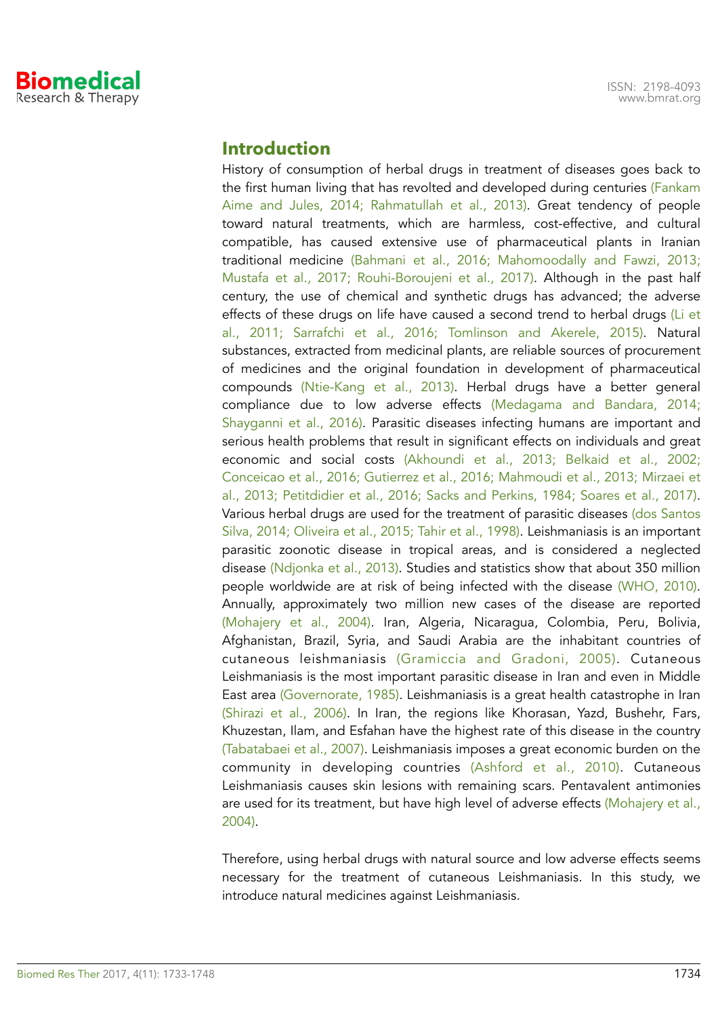

#### **Introduction**

History of consumption of herbal drugs in treatment of diseases goes back to the first human living that has revolted and developed during centuries (Fankam Aime and Jules, 2014; Rahmatullah et al., 2013). Great tendency of people toward natural treatments, which are harmless, cost-effective, and cultural compatible, has caused extensive use of pharmaceutical plants in Iranian traditional medicine (Bahmani et al., 2016; Mahomoodally and Fawzi, 2013; Mustafa et al., 2017; Rouhi-Boroujeni et al., 2017). Although in the past half century, the use of chemical and synthetic drugs has advanced; the adverse effects of these drugs on life have caused a second trend to herbal drugs (Li et al., 2011; Sarrafchi et al., 2016; Tomlinson and Akerele, 2015). Natural substances, extracted from medicinal plants, are reliable sources of procurement of medicines and the original foundation in development of pharmaceutical compounds (Ntie-Kang et al., 2013). Herbal drugs have a better general compliance due to low adverse effects (Medagama and Bandara, 2014; Shayganni et al., 2016). Parasitic diseases infecting humans are important and serious health problems that result in significant effects on individuals and great economic and social costs (Akhoundi et al., 2013; Belkaid et al., 2002; Conceicao et al., 2016; Gutierrez et al., 2016; Mahmoudi et al., 2013; Mirzaei et al., 2013; Petitdidier et al., 2016; Sacks and Perkins, 1984; Soares et al., 2017). Various herbal drugs are used for the treatment of parasitic diseases (dos Santos Silva, 2014; Oliveira et al., 2015; Tahir et al., 1998). Leishmaniasis is an important parasitic zoonotic disease in tropical areas, and is considered a neglected disease (Ndjonka et al., 2013). Studies and statistics show that about 350 million people worldwide are at risk of being infected with the disease (WHO, 2010). Annually, approximately two million new cases of the disease are reported (Mohajery et al., 2004). Iran, Algeria, Nicaragua, Colombia, Peru, Bolivia, Afghanistan, Brazil, Syria, and Saudi Arabia are the inhabitant countries of cutaneous leishmaniasis (Gramiccia and Gradoni, 2005). Cutaneous Leishmaniasis is the most important parasitic disease in Iran and even in Middle East area (Governorate, 1985). Leishmaniasis is a great health catastrophe in Iran (Shirazi et al., 2006). In Iran, the regions like Khorasan, Yazd, Bushehr, Fars, Khuzestan, Ilam, and Esfahan have the highest rate of this disease in the country (Tabatabaei et al., 2007). Leishmaniasis imposes a great economic burden on the community in developing countries (Ashford et al., 2010). Cutaneous Leishmaniasis causes skin lesions with remaining scars. Pentavalent antimonies are used for its treatment, but have high level of adverse effects (Mohajery et al., 2004).

Therefore, using herbal drugs with natural source and low adverse effects seems necessary for the treatment of cutaneous Leishmaniasis. In this study, we introduce natural medicines against Leishmaniasis.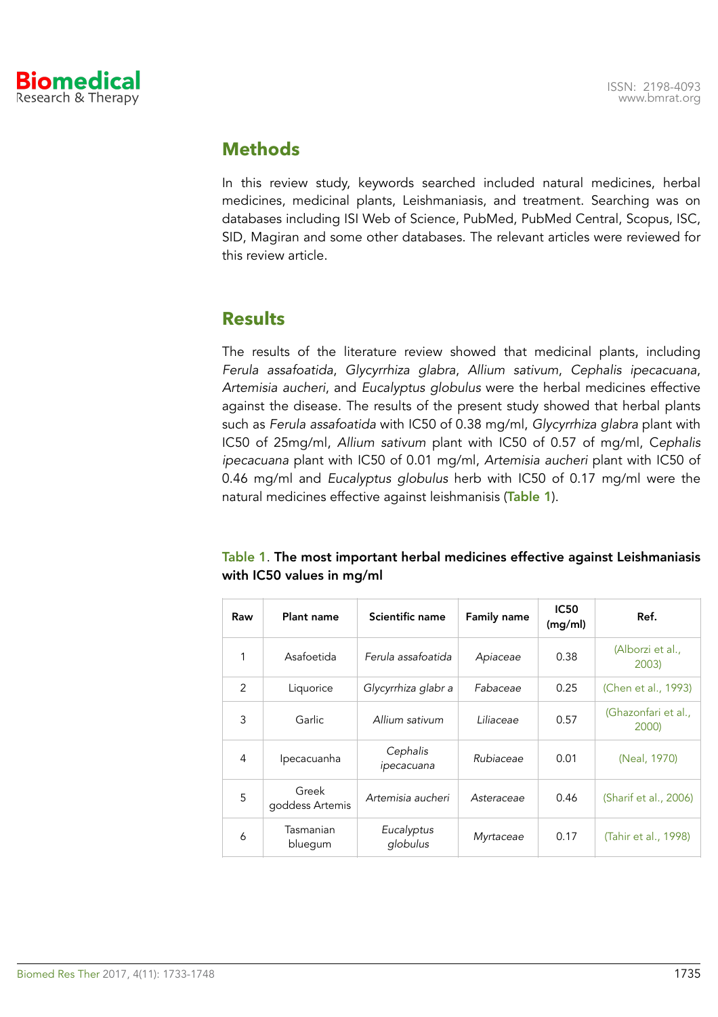

### **Methods**

In this review study, keywords searched included natural medicines, herbal medicines, medicinal plants, Leishmaniasis, and treatment. Searching was on databases including ISI Web of Science, PubMed, PubMed Central, Scopus, ISC, SID, Magiran and some other databases. The relevant articles were reviewed for this review article.

### **Results**

The results of the literature review showed that medicinal plants, including *Ferula assafoatida*, *Glycyrrhiza glabra*, *Allium sativum*, *Cephalis ipecacuana*, *Artemisia aucheri*, and *Eucalyptus globulus* were the herbal medicines effective against the disease. The results of the present study showed that herbal plants such as *Ferula assafoatida* with IC50 of 0.38 mg/ml, *Glycyrrhiza glabra* plant with IC50 of 25mg/ml, *Allium sativum* plant with IC50 of 0.57 of mg/ml, C*ephalis ipecacuana* plant with IC50 of 0.01 mg/ml, *Artemisia aucheri* plant with IC50 of 0.46 mg/ml and *Eucalyptus globulus* herb with IC50 of 0.17 mg/ml were the natural medicines effective against leishmanisis (Table 1).

#### Table 1. The most important herbal medicines effective against Leishmaniasis with IC50 values in mg/ml

| Raw | Plant name               | Scientific name        | <b>Family name</b> | <b>IC50</b><br>(mg/ml) | Ref.                         |
|-----|--------------------------|------------------------|--------------------|------------------------|------------------------------|
| 1   | Asafoetida               | Ferula assafoatida     | Apiaceae           | 0.38                   | (Alborzi et al.,<br>2003)    |
| 2   | Liquorice                | Glycyrrhiza glabr a    | Fabaceae           | 0.25                   | (Chen et al., 1993)          |
| 3   | Garlic                   | Allium sativum         | Liliaceae          | 0.57                   | (Ghazonfari et al.,<br>2000) |
| 4   | Ipecacuanha              | Cephalis<br>ipecacuana | Rubiaceae          | 0.01                   | (Neal, 1970)                 |
| 5   | Greek<br>goddess Artemis | Artemisia aucheri      | Asteraceae         | 0.46                   | (Sharif et al., 2006)        |
| 6   | Tasmanian<br>bluegum     | Eucalyptus<br>globulus | Myrtaceae          | 0.17                   | (Tahir et al., 1998)         |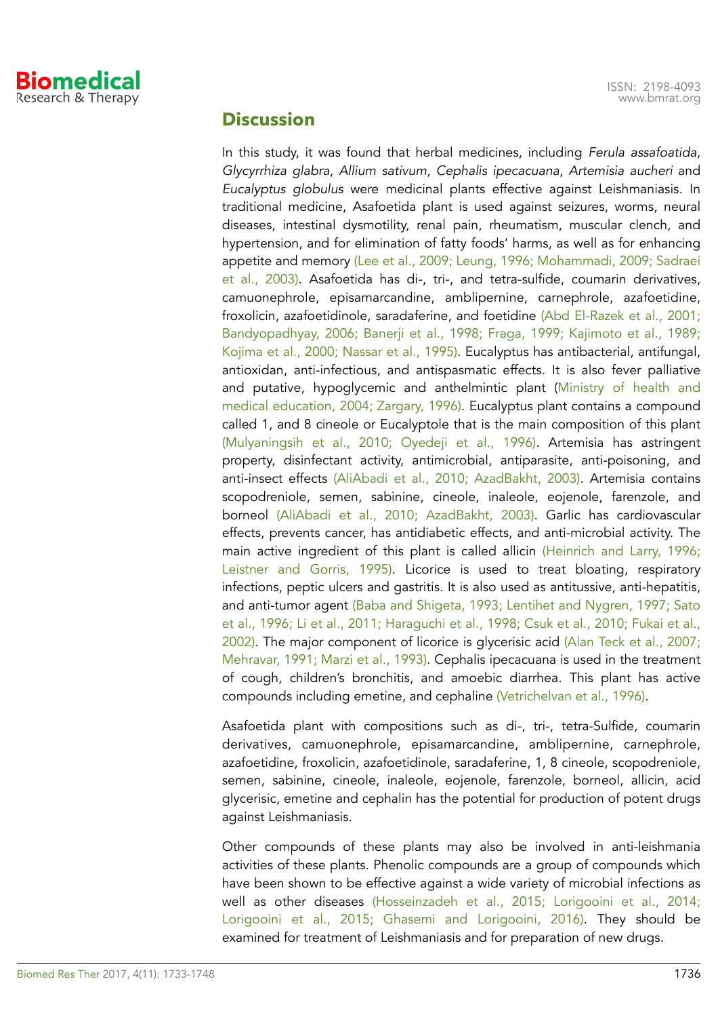

#### **Discussion**

In this study, it was found that herbal medicines, including *Ferula assafoatida*, *Glycyrrhiza glabra*, *Allium sativum*, *Cephalis ipecacuana*, *Artemisia aucheri* and *Eucalyptus globulus* were medicinal plants effective against Leishmaniasis. In traditional medicine, Asafoetida plant is used against seizures, worms, neural diseases, intestinal dysmotility, renal pain, rheumatism, muscular clench, and hypertension, and for elimination of fatty foods' harms, as well as for enhancing appetite and memory (Lee et al., 2009; Leung, 1996; Mohammadi, 2009; Sadraei et al., 2003). Asafoetida has di-, tri-, and tetra-sulfide, coumarin derivatives, camuonephrole, episamarcandine, amblipernine, carnephrole, azafoetidine, froxolicin, azafoetidinole, saradaferine, and foetidine (Abd El-Razek et al., 2001; Bandyopadhyay, 2006; Banerji et al., 1998; Fraga, 1999; Kajimoto et al., 1989; Kojima et al., 2000; Nassar et al., 1995). Eucalyptus has antibacterial, antifungal, antioxidan, anti-infectious, and antispasmatic effects. It is also fever palliative and putative, hypoglycemic and anthelmintic plant (Ministry of health and medical education, 2004; Zargary, 1996). Eucalyptus plant contains a compound called 1, and 8 cineole or Eucalyptole that is the main composition of this plant (Mulyaningsih et al., 2010; Oyedeji et al., 1996). Artemisia has astringent property, disinfectant activity, antimicrobial, antiparasite, anti-poisoning, and anti-insect effects (AliAbadi et al., 2010; AzadBakht, 2003). Artemisia contains scopodreniole, semen, sabinine, cineole, inaleole, eojenole, farenzole, and borneol (AliAbadi et al., 2010; AzadBakht, 2003). Garlic has cardiovascular effects, prevents cancer, has antidiabetic effects, and anti-microbial activity. The main active ingredient of this plant is called allicin (Heinrich and Larry, 1996; Leistner and Gorris, 1995). Licorice is used to treat bloating, respiratory infections, peptic ulcers and gastritis. It is also used as antitussive, anti-hepatitis, and anti-tumor agent (Baba and Shigeta, 1993; Lentihet and Nygren, 1997; Sato et al., 1996; Li et al., 2011; Haraguchi et al., 1998; Csuk et al., 2010; Fukai et al., 2002). The major component of licorice is glycerisic acid (Alan Teck et al., 2007; Mehravar, 1991; Marzi et al., 1993). Cephalis ipecacuana is used in the treatment of cough, children's bronchitis, and amoebic diarrhea. This plant has active compounds including emetine, and cephaline (Vetrichelvan et al., 1996).

Asafoetida plant with compositions such as di-, tri-, tetra-Sulfide, coumarin derivatives, camuonephrole, episamarcandine, amblipernine, carnephrole, azafoetidine, froxolicin, azafoetidinole, saradaferine, 1, 8 cineole, scopodreniole, semen, sabinine, cineole, inaleole, eojenole, farenzole, borneol, allicin, acid glycerisic, emetine and cephalin has the potential for production of potent drugs against Leishmaniasis.

Other compounds of these plants may also be involved in anti-leishmania activities of these plants. Phenolic compounds are a group of compounds which have been shown to be effective against a wide variety of microbial infections as well as other diseases (Hosseinzadeh et al., 2015; Lorigooini et al., 2014; Lorigooini et al., 2015; Ghasemi and Lorigooini, 2016). They should be examined for treatment of Leishmaniasis and for preparation of new drugs.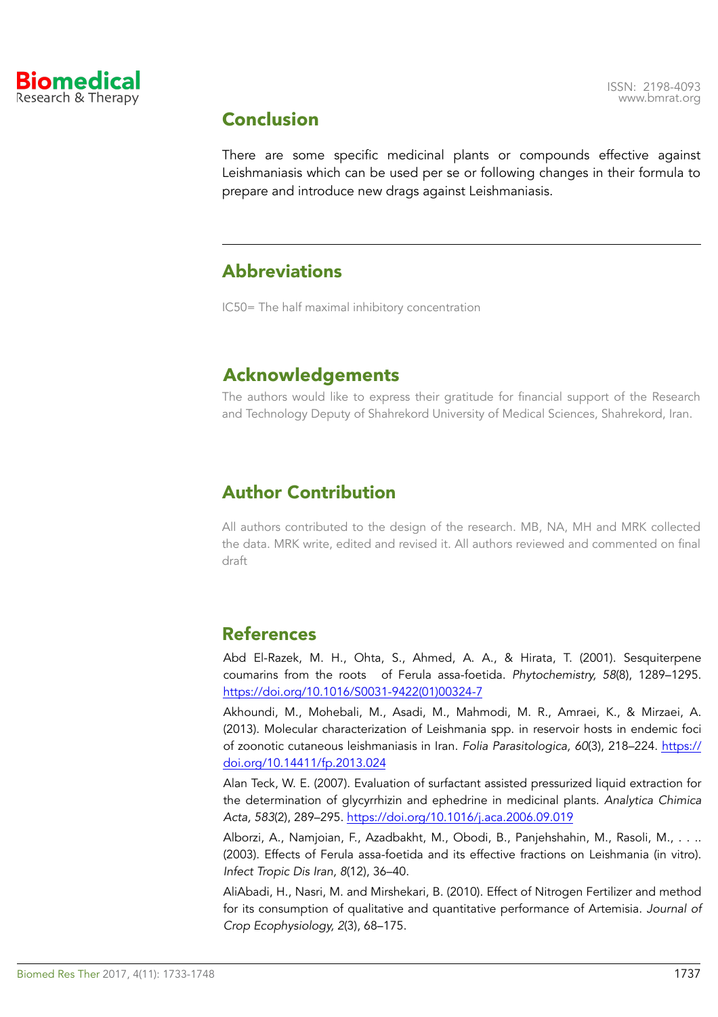

# **Conclusion**

There are some specific medicinal plants or compounds effective against Leishmaniasis which can be used per se or following changes in their formula to prepare and introduce new drags against Leishmaniasis.

### Abbreviations

IC50= The half maximal inhibitory concentration

# **Acknowledgements**

The authors would like to express their gratitude for financial support of the Research and Technology Deputy of Shahrekord University of Medical Sciences, Shahrekord, Iran.

# Author Contribution

All authors contributed to the design of the research. MB, NA, MH and MRK collected the data. MRK write, edited and revised it. All authors reviewed and commented on final draft

# References

Abd El-Razek, M. H., Ohta, S., Ahmed, A. A., & Hirata, T. (2001). Sesquiterpene coumarins from the roots of Ferula assa-foetida. *Phytochemistry, 58*(8), 1289–1295. [https://doi.org/10.1016/S0031-9422\(01\)00324-7](https://doi.org/10.1016/S0031-9422(01)00324-7)

Akhoundi, M., Mohebali, M., Asadi, M., Mahmodi, M. R., Amraei, K., & Mirzaei, A. (2013). Molecular characterization of Leishmania spp. in reservoir hosts in endemic foci of zoonotic cutaneous leishmaniasis in Iran. *Folia Parasitologica, 60*(3), 218–224. [https://](https://doi.org/10.14411/fp.2013.024) [doi.org/10.14411/fp.2013.024](https://doi.org/10.14411/fp.2013.024)

Alan Teck, W. E. (2007). Evaluation of surfactant assisted pressurized liquid extraction for the determination of glycyrrhizin and ephedrine in medicinal plants. *Analytica Chimica Acta, 583*(2), 289–295.<https://doi.org/10.1016/j.aca.2006.09.019>

Alborzi, A., Namjoian, F., Azadbakht, M., Obodi, B., Panjehshahin, M., Rasoli, M., . . .. (2003). Effects of Ferula assa-foetida and its effective fractions on Leishmania (in vitro). *Infect Tropic Dis Iran, 8*(12), 36–40.

AliAbadi, H., Nasri, M. and Mirshekari, B. (2010). Effect of Nitrogen Fertilizer and method for its consumption of qualitative and quantitative performance of Artemisia. *Journal of Crop Ecophysiology, 2*(3), 68–175.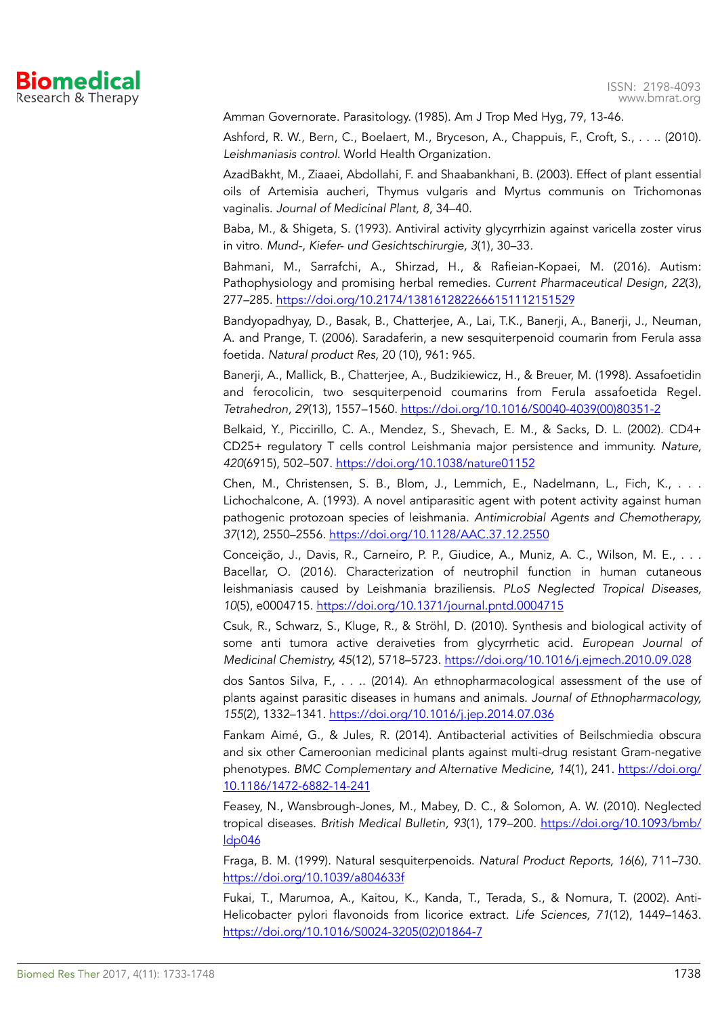

Amman Governorate. Parasitology. (1985). Am J Trop Med Hyg, 79, 13-46.

Ashford, R. W., Bern, C., Boelaert, M., Bryceson, A., Chappuis, F., Croft, S., . . .. (2010). *Leishmaniasis control*. World Health Organization.

AzadBakht, M., Ziaaei, Abdollahi, F. and Shaabankhani, B. (2003). Effect of plant essential oils of Artemisia aucheri, Thymus vulgaris and Myrtus communis on Trichomonas vaginalis. *Journal of Medicinal Plant, 8*, 34–40.

Baba, M., & Shigeta, S. (1993). Antiviral activity glycyrrhizin against varicella zoster virus in vitro. *Mund-, Kiefer- und Gesichtschirurgie, 3*(1), 30–33.

Bahmani, M., Sarrafchi, A., Shirzad, H., & Rafieian-Kopaei, M. (2016). Autism: Pathophysiology and promising herbal remedies. *Current Pharmaceutical Design, 22*(3), 277–285.<https://doi.org/10.2174/1381612822666151112151529>

Bandyopadhyay, D., Basak, B., Chatterjee, A., Lai, T.K., Banerji, A., Banerji, J., Neuman, A. and Prange, T. (2006). Saradaferin, a new sesquiterpenoid coumarin from Ferula assa foetida. *Natural product Res,* 20 (10), 961: 965.

Banerji, A., Mallick, B., Chatterjee, A., Budzikiewicz, H., & Breuer, M. (1998). Assafoetidin and ferocolicin, two sesquiterpenoid coumarins from Ferula assafoetida Regel. *Tetrahedron, 29*(13), 1557–1560. [https://doi.org/10.1016/S0040-4039\(00\)80351-2](https://doi.org/10.1016/S0040-4039(00)80351-2)

Belkaid, Y., Piccirillo, C. A., Mendez, S., Shevach, E. M., & Sacks, D. L. (2002). CD4+ CD25+ regulatory T cells control Leishmania major persistence and immunity. *Nature, 420*(6915), 502–507.<https://doi.org/10.1038/nature01152>

Chen, M., Christensen, S. B., Blom, J., Lemmich, E., Nadelmann, L., Fich, K., . . . Lichochalcone, A. (1993). A novel antiparasitic agent with potent activity against human pathogenic protozoan species of leishmania. *Antimicrobial Agents and Chemotherapy, 37*(12), 2550–2556.<https://doi.org/10.1128/AAC.37.12.2550>

Conceição, J., Davis, R., Carneiro, P. P., Giudice, A., Muniz, A. C., Wilson, M. E., ... Bacellar, O. (2016). Characterization of neutrophil function in human cutaneous leishmaniasis caused by Leishmania braziliensis. *PLoS Neglected Tropical Diseases, 10*(5), e0004715.<https://doi.org/10.1371/journal.pntd.0004715>

Csuk, R., Schwarz, S., Kluge, R., & Ströhl, D. (2010). Synthesis and biological activity of some anti tumora active deraiveties from glycyrrhetic acid. *European Journal of Medicinal Chemistry, 45*(12), 5718–5723.<https://doi.org/10.1016/j.ejmech.2010.09.028>

dos Santos Silva, F., . . .. (2014). An ethnopharmacological assessment of the use of plants against parasitic diseases in humans and animals. *Journal of Ethnopharmacology, 155*(2), 1332–1341.<https://doi.org/10.1016/j.jep.2014.07.036>

Fankam Aimé, G., & Jules, R. (2014). Antibacterial activities of Beilschmiedia obscura and six other Cameroonian medicinal plants against multi-drug resistant Gram-negative phenotypes. *BMC Complementary and Alternative Medicine, 14*(1), 241. [https://doi.org/](https://doi.org/10.1186/1472-6882-14-241) [10.1186/1472-6882-14-241](https://doi.org/10.1186/1472-6882-14-241)

Feasey, N., Wansbrough-Jones, M., Mabey, D. C., & Solomon, A. W. (2010). Neglected tropical diseases. *British Medical Bulletin, 93*(1), 179–200. [https://doi.org/10.1093/bmb/](https://doi.org/10.1093/bmb/ldp046) [ldp046](https://doi.org/10.1093/bmb/ldp046)

Fraga, B. M. (1999). Natural sesquiterpenoids. *Natural Product Reports, 16*(6), 711–730. <https://doi.org/10.1039/a804633f>

Fukai, T., Marumoa, A., Kaitou, K., Kanda, T., Terada, S., & Nomura, T. (2002). Anti-Helicobacter pylori flavonoids from licorice extract. *Life Sciences, 71*(12), 1449–1463. [https://doi.org/10.1016/S0024-3205\(02\)01864-7](https://doi.org/10.1016/S0024-3205(02)01864-7)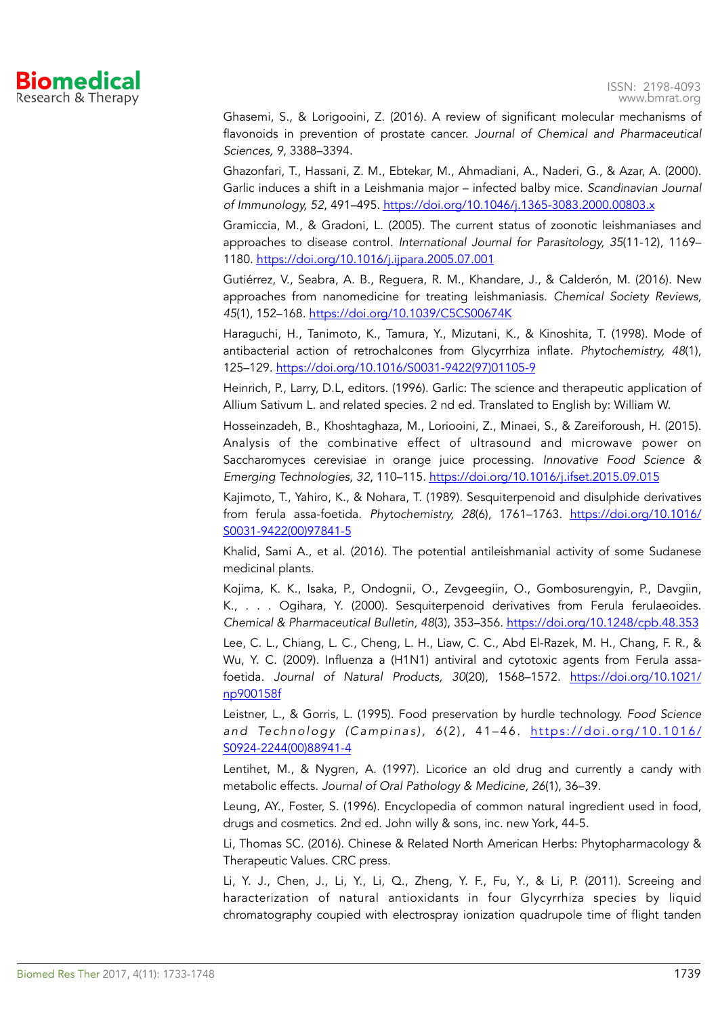

Ghasemi, S., & Lorigooini, Z. (2016). A review of significant molecular mechanisms of flavonoids in prevention of prostate cancer. *Journal of Chemical and Pharmaceutical Sciences, 9*, 3388–3394.

Ghazonfari, T., Hassani, Z. M., Ebtekar, M., Ahmadiani, A., Naderi, G., & Azar, A. (2000). Garlic induces a shift in a Leishmania major – infected balby mice. *Scandinavian Journal of Immunology, 52*, 491–495.<https://doi.org/10.1046/j.1365-3083.2000.00803.x>

Gramiccia, M., & Gradoni, L. (2005). The current status of zoonotic leishmaniases and approaches to disease control. *International Journal for Parasitology, 35*(11-12), 1169– 1180.<https://doi.org/10.1016/j.ijpara.2005.07.001>

Gutiérrez, V., Seabra, A. B., Reguera, R. M., Khandare, J., & Calderón, M. (2016). New approaches from nanomedicine for treating leishmaniasis. *Chemical Society Reviews, 45*(1), 152–168.<https://doi.org/10.1039/C5CS00674K>

Haraguchi, H., Tanimoto, K., Tamura, Y., Mizutani, K., & Kinoshita, T. (1998). Mode of antibacterial action of retrochalcones from Glycyrrhiza inflate. *Phytochemistry, 48*(1), 125–129. [https://doi.org/10.1016/S0031-9422\(97\)01105-9](https://doi.org/10.1016/S0031-9422(97)01105-9) 

Heinrich, P., Larry, D.L, editors. (1996). Garlic: The science and therapeutic application of Allium Sativum L. and related species. 2 nd ed. Translated to English by: William W.

Hosseinzadeh, B., Khoshtaghaza, M., Loriooini, Z., Minaei, S., & Zareiforoush, H. (2015). Analysis of the combinative effect of ultrasound and microwave power on Saccharomyces cerevisiae in orange juice processing. *Innovative Food Science & Emerging Technologies, 32*, 110–115. <https://doi.org/10.1016/j.ifset.2015.09.015>

Kajimoto, T., Yahiro, K., & Nohara, T. (1989). Sesquiterpenoid and disulphide derivatives from ferula assa-foetida. *Phytochemistry, 28*(6), 1761–1763. [https://doi.org/10.1016/](https://doi.org/10.1016/S0031-9422(00)97841-5) [S0031-9422\(00\)97841-5](https://doi.org/10.1016/S0031-9422(00)97841-5)

Khalid, Sami A., et al. (2016). The potential antileishmanial activity of some Sudanese medicinal plants.

Kojima, K. K., Isaka, P., Ondognii, O., Zevgeegiin, O., Gombosurengyin, P., Davgiin, K., . . . Ogihara, Y. (2000). Sesquiterpenoid derivatives from Ferula ferulaeoides. *Chemical & Pharmaceutical Bulletin, 48*(3), 353–356.<https://doi.org/10.1248/cpb.48.353>

Lee, C. L., Chiang, L. C., Cheng, L. H., Liaw, C. C., Abd El-Razek, M. H., Chang, F. R., & Wu, Y. C. (2009). Influenza a (H1N1) antiviral and cytotoxic agents from Ferula assafoetida. *Journal of Natural Products, 30*(20), 1568–1572. [https://doi.org/10.1021/](https://doi.org/10.1021/np900158f) [np900158f](https://doi.org/10.1021/np900158f)

Leistner, L., & Gorris, L. (1995). Food preservation by hurdle technology. *Food Science*  and Technology (Campinas), 6(2), 41-46. [https://doi.org/10.1016/](https://doi.org/10.1016/S0924-2244(00)88941-4) [S0924-2244\(00\)88941-4](https://doi.org/10.1016/S0924-2244(00)88941-4)

Lentihet, M., & Nygren, A. (1997). Licorice an old drug and currently a candy with metabolic effects. *Journal of Oral Pathology & Medicine, 26*(1), 36–39.

Leung, AY., Foster, S. (1996). Encyclopedia of common natural ingredient used in food, drugs and cosmetics. 2nd ed. John willy & sons, inc. new York, 44-5.

Li, Thomas SC. (2016). Chinese & Related North American Herbs: Phytopharmacology & Therapeutic Values. CRC press.

Li, Y. J., Chen, J., Li, Y., Li, Q., Zheng, Y. F., Fu, Y., & Li, P. (2011). Screeing and haracterization of natural antioxidants in four Glycyrrhiza species by liquid chromatography coupied with electrospray ionization quadrupole time of flight tanden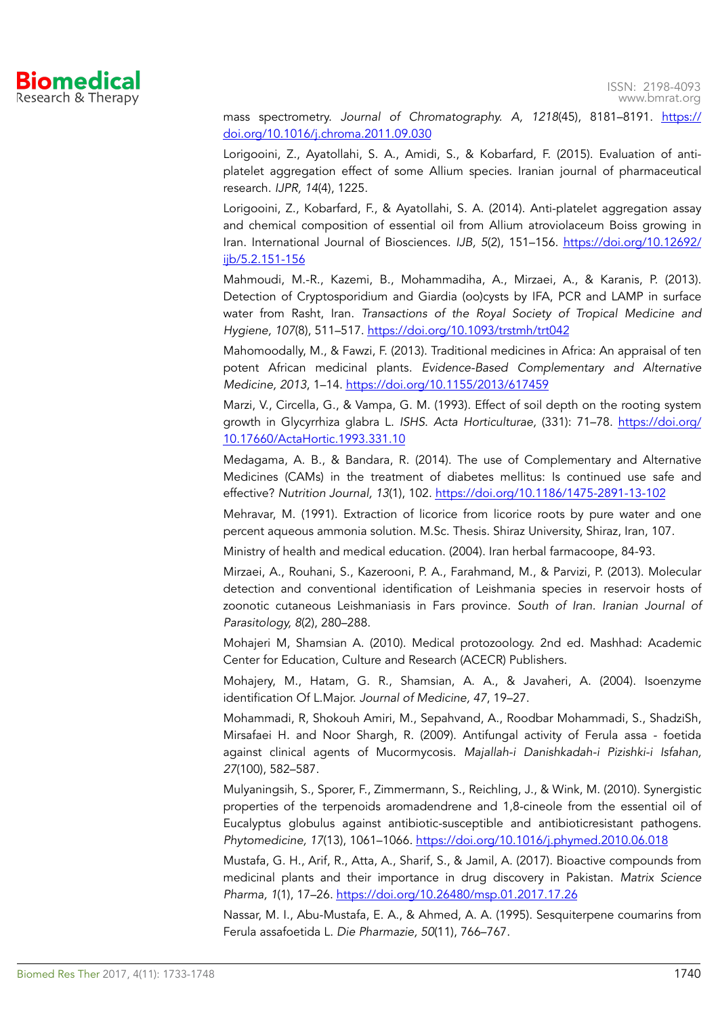

mass spectrometry. *Journal of Chromatography. A, 1218*(45), 8181–8191. [https://](https://doi.org/10.1016/j.chroma.2011.09.030) [doi.org/10.1016/j.chroma.2011.09.030](https://doi.org/10.1016/j.chroma.2011.09.030)

Lorigooini, Z., Ayatollahi, S. A., Amidi, S., & Kobarfard, F. (2015). Evaluation of antiplatelet aggregation effect of some Allium species. Iranian journal of pharmaceutical research. *IJPR, 14*(4), 1225.

Lorigooini, Z., Kobarfard, F., & Ayatollahi, S. A. (2014). Anti-platelet aggregation assay and chemical composition of essential oil from Allium atroviolaceum Boiss growing in Iran. International Journal of Biosciences. *IJB, 5*(2), 151–156. [https://doi.org/10.12692/](https://doi.org/10.12692/ijb/5.2.151-156) [ijb/5.2.151-156](https://doi.org/10.12692/ijb/5.2.151-156)

Mahmoudi, M.-R., Kazemi, B., Mohammadiha, A., Mirzaei, A., & Karanis, P. (2013). Detection of Cryptosporidium and Giardia (oo)cysts by IFA, PCR and LAMP in surface water from Rasht, Iran. *Transactions of the Royal Society of Tropical Medicine and Hygiene, 107*(8), 511–517.<https://doi.org/10.1093/trstmh/trt042>

Mahomoodally, M., & Fawzi, F. (2013). Traditional medicines in Africa: An appraisal of ten potent African medicinal plants. *Evidence-Based Complementary and Alternative Medicine, 2013*, 1–14.<https://doi.org/10.1155/2013/617459>

Marzi, V., Circella, G., & Vampa, G. M. (1993). Effect of soil depth on the rooting system growth in Glycyrrhiza glabra L. *ISHS*. *Acta Horticulturae,* (331): 71–78. [https://doi.org/](https://doi.org/10.17660/ActaHortic.1993.331.10) [10.17660/ActaHortic.1993.331.10](https://doi.org/10.17660/ActaHortic.1993.331.10)

Medagama, A. B., & Bandara, R. (2014). The use of Complementary and Alternative Medicines (CAMs) in the treatment of diabetes mellitus: Is continued use safe and effective? *Nutrition Journal, 13*(1), 102.<https://doi.org/10.1186/1475-2891-13-102>

Mehravar, M. (1991). Extraction of licorice from licorice roots by pure water and one percent aqueous ammonia solution. M.Sc. Thesis. Shiraz University, Shiraz, Iran, 107.

Ministry of health and medical education. (2004). Iran herbal farmacoope, 84-93.

Mirzaei, A., Rouhani, S., Kazerooni, P. A., Farahmand, M., & Parvizi, P. (2013). Molecular detection and conventional identification of Leishmania species in reservoir hosts of zoonotic cutaneous Leishmaniasis in Fars province. *South of Iran. Iranian Journal of Parasitology, 8*(2), 280–288.

Mohajeri M, Shamsian A. (2010). Medical protozoology. 2nd ed. Mashhad: Academic Center for Education, Culture and Research (ACECR) Publishers.

Mohajery, M., Hatam, G. R., Shamsian, A. A., & Javaheri, A. (2004). Isoenzyme identification Of L.Major. *Journal of Medicine, 47*, 19–27.

Mohammadi, R, Shokouh Amiri, M., Sepahvand, A., Roodbar Mohammadi, S., ShadziSh, Mirsafaei H. and Noor Shargh, R. (2009). Antifungal activity of Ferula assa - foetida against clinical agents of Mucormycosis. *Majallah-i Danishkadah-i Pizishki-i Isfahan, 27*(100), 582–587.

Mulyaningsih, S., Sporer, F., Zimmermann, S., Reichling, J., & Wink, M. (2010). Synergistic properties of the terpenoids aromadendrene and 1,8-cineole from the essential oil of Eucalyptus globulus against antibiotic-susceptible and antibioticresistant pathogens. *Phytomedicine, 17*(13), 1061–1066.<https://doi.org/10.1016/j.phymed.2010.06.018>

Mustafa, G. H., Arif, R., Atta, A., Sharif, S., & Jamil, A. (2017). Bioactive compounds from medicinal plants and their importance in drug discovery in Pakistan. *Matrix Science Pharma, 1*(1), 17–26.<https://doi.org/10.26480/msp.01.2017.17.26>

Nassar, M. I., Abu-Mustafa, E. A., & Ahmed, A. A. (1995). Sesquiterpene coumarins from Ferula assafoetida L. *Die Pharmazie, 50*(11), 766–767.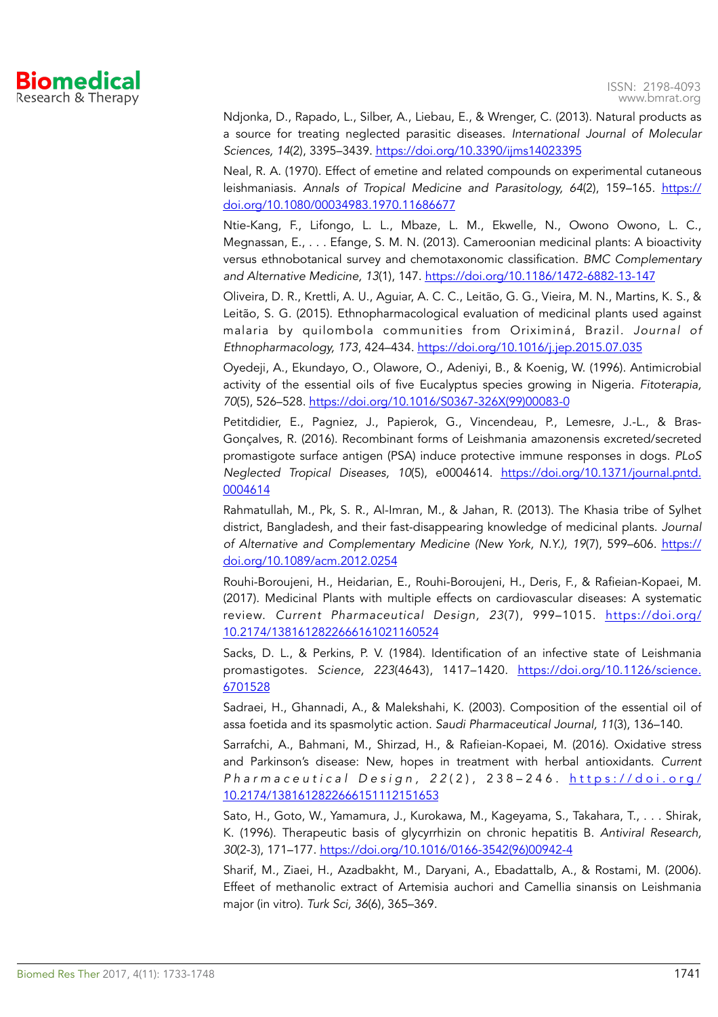

Ndjonka, D., Rapado, L., Silber, A., Liebau, E., & Wrenger, C. (2013). Natural products as a source for treating neglected parasitic diseases. *International Journal of Molecular Sciences, 14*(2), 3395–3439.<https://doi.org/10.3390/ijms14023395>

Neal, R. A. (1970). Effect of emetine and related compounds on experimental cutaneous leishmaniasis. *Annals of Tropical Medicine and Parasitology, 64*(2), 159–165. [https://](https://doi.org/10.1080/00034983.1970.11686677) [doi.org/10.1080/00034983.1970.11686677](https://doi.org/10.1080/00034983.1970.11686677)

Ntie-Kang, F., Lifongo, L. L., Mbaze, L. M., Ekwelle, N., Owono Owono, L. C., Megnassan, E., . . . Efange, S. M. N. (2013). Cameroonian medicinal plants: A bioactivity versus ethnobotanical survey and chemotaxonomic classification. *BMC Complementary and Alternative Medicine, 13*(1), 147.<https://doi.org/10.1186/1472-6882-13-147>

Oliveira, D. R., Krettli, A. U., Aguiar, A. C. C., Leitão, G. G., Vieira, M. N., Martins, K. S., & Leitão, S. G. (2015). Ethnopharmacological evaluation of medicinal plants used against malaria by quilombola communities from Oriximiná, Brazil. *Journal of Ethnopharmacology, 173*, 424–434.<https://doi.org/10.1016/j.jep.2015.07.035>

Oyedeji, A., Ekundayo, O., Olawore, O., Adeniyi, B., & Koenig, W. (1996). Antimicrobial activity of the essential oils of five Eucalyptus species growing in Nigeria. *Fitoterapia, 70*(5), 526–528. [https://doi.org/10.1016/S0367-326X\(99\)00083-0](https://doi.org/10.1016/S0367-326X(99)00083-0)

Petitdidier, E., Pagniez, J., Papierok, G., Vincendeau, P., Lemesre, J.-L., & Bras-Gonçalves, R. (2016). Recombinant forms of Leishmania amazonensis excreted/secreted promastigote surface antigen (PSA) induce protective immune responses in dogs. *PLoS Neglected Tropical Diseases, 10*(5), e0004614. [https://doi.org/10.1371/journal.pntd.](https://doi.org/10.1371/journal.pntd.0004614) [0004614](https://doi.org/10.1371/journal.pntd.0004614)

Rahmatullah, M., Pk, S. R., Al-Imran, M., & Jahan, R. (2013). The Khasia tribe of Sylhet district, Bangladesh, and their fast-disappearing knowledge of medicinal plants. *Journal of Alternative and Complementary Medicine (New York, N.Y.), 19(7), 599-606. [https://](https://doi.org/10.1089/acm.2012.0254)* [doi.org/10.1089/acm.2012.0254](https://doi.org/10.1089/acm.2012.0254)

Rouhi-Boroujeni, H., Heidarian, E., Rouhi-Boroujeni, H., Deris, F., & Rafieian-Kopaei, M. (2017). Medicinal Plants with multiple effects on cardiovascular diseases: A systematic review. *Current Pharmaceutical Design, 23*(7), 999–1015. [https://doi.org/](https://doi.org/10.2174/1381612822666161021160524) [10.2174/1381612822666161021160524](https://doi.org/10.2174/1381612822666161021160524)

Sacks, D. L., & Perkins, P. V. (1984). Identification of an infective state of Leishmania promastigotes. *Science, 223*(4643), 1417–1420. [https://doi.org/10.1126/science.](https://doi.org/10.1126/science.6701528) [6701528](https://doi.org/10.1126/science.6701528)

Sadraei, H., Ghannadi, A., & Malekshahi, K. (2003). Composition of the essential oil of assa foetida and its spasmolytic action. *Saudi Pharmaceutical Journal, 11*(3), 136–140.

Sarrafchi, A., Bahmani, M., Shirzad, H., & Rafieian-Kopaei, M. (2016). Oxidative stress and Parkinson's disease: New, hopes in treatment with herbal antioxidants. *Current P h a r m a c e u t i c a l D e s i g n , 2 2* ( 2 ) , 2 3 8 – 2 4 6 . [https://doi.org/](https://doi.org/10.2174/1381612822666151112151653) [10.2174/1381612822666151112151653](https://doi.org/10.2174/1381612822666151112151653)

Sato, H., Goto, W., Yamamura, J., Kurokawa, M., Kageyama, S., Takahara, T., . . . Shirak, K. (1996). Therapeutic basis of glycyrrhizin on chronic hepatitis B. *Antiviral Research, 30*(2-3), 171–177. [https://doi.org/10.1016/0166-3542\(96\)00942-4](https://doi.org/10.1016/0166-3542(96)00942-4)

Sharif, M., Ziaei, H., Azadbakht, M., Daryani, A., Ebadattalb, A., & Rostami, M. (2006). Effeet of methanolic extract of Artemisia auchori and Camellia sinansis on Leishmania major (in vitro). *Turk Sci, 36*(6), 365–369.